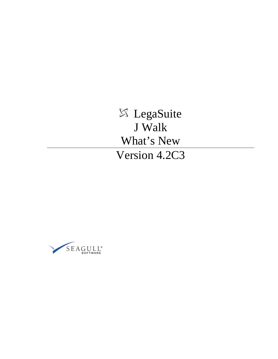LegaSuite J Walk What's New Version 4.2C3

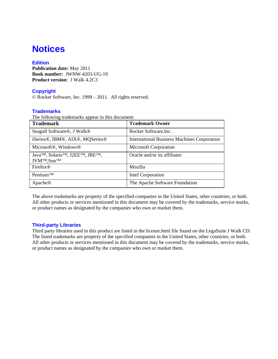# **Notices**

# **Edition**

**Publication date:** May 2011 **Book number:** JWNW-4203-UG-19 **Product version:** J Walk 4.2C3

# **Copyright**

© Rocket Software, Inc. 1999 – 2011. All rights reserved.

### **Trademarks**

The following trademarks appear in this document:

| <b>Trademark</b>                                                                                                              | <b>Trademark Owner</b>                             |
|-------------------------------------------------------------------------------------------------------------------------------|----------------------------------------------------|
| Seagull Software <sup>®</sup> , J Walk <sup>®</sup>                                                                           | Rocket Software, Inc.                              |
| iSeries®, IBM®, AIX®, MOSeries®                                                                                               | <b>International Business Machines Corporation</b> |
| Microsoft <sup>®</sup> , Windows <sup>®</sup>                                                                                 | <b>Microsoft Corporation</b>                       |
| Java <sup>TM</sup> , Solaris <sup>TM</sup> , J2EE <sup>TM</sup> , JRE <sup>TM</sup> ,<br>JVM <sup>TM</sup> ,Sun <sup>TM</sup> | Oracle and/or its affiliates                       |
| Firefox <sup>®</sup>                                                                                                          | Mozilla                                            |
| Pentium <sup>TM</sup>                                                                                                         | Intel Corporation                                  |
| Apache <sup>®</sup>                                                                                                           | The Apache Software Foundation                     |

The above trademarks are property of the specified companies in the United States, other countries, or both. All other products or services mentioned in this document may be covered by the trademarks, service marks, or product names as designated by the companies who own or market them.

### **Third-party Libraries**

Third party libraries used in this product are listed in the license.html file found on the LegaSuite J Walk CD. The listed trademarks are property of the specified companies in the United States, other countries, or both. All other products or services mentioned in this document may be covered by the trademarks, service marks, or product names as designated by the companies who own or market them.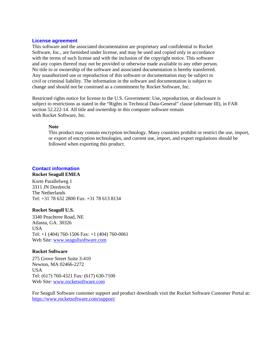#### **License agreement**

This software and the associated documentation are proprietary and confidential to Rocket Software, Inc., are furnished under license, and may be used and copied only in accordance with the terms of such license and with the inclusion of the copyright notice. This software and any copies thereof may not be provided or otherwise made available to any other person. No title to or ownership of the software and associated documentation is hereby transferred. Any unauthorized use or reproduction of this software or documentation may be subject to civil or criminal liability. The information in the software and documentation is subject to change and should not be construed as a commitment by Rocket Software, Inc.

Restricted rights notice for license to the U.S. Government: Use, reproduction, or disclosure is subject to restrictions as stated in the "Rights in Technical Data-General" clause (alternate III), in FAR section 52.222-14. All title and ownership in this computer software remain with Rocket Software, Inc.

### **Note**

This product may contain encryption technology. Many countries prohibit or restrict the use, import, or export of encryption technologies, and current use, import, and export regulations should be followed when exporting this product.

# **Contact information**

### **Rocket Seagull EMEA**

Korte Parallelweg 1 3311 JN Dordrecht The Netherlands Tel: +31 78 632 2800 Fax: +31 78 613 8134

### **Rocket Seagull U.S.**

3340 Peachtree Road, NE Atlanta, GA. 30326 USA Tel: +1 (404) 760-1506 Fax: +1 (404) 760-0061 Web Site: [www.seagullsoftware.com](http://www.seagullsoftware.com/)

### **Rocket Software**

275 Grove Street Suite 3-410 Newton, MA 02466-2272 USA Tel: (617) 760-4321 Fax: (617) 630-7100 Web Site: [www.rocketsoftware.com](http://www.rocketsoftware.com/)

For Seagull Software customer support and product downloads visit the Rocket Software Customer Portal at: <https://www.rocketsoftware.com/support/>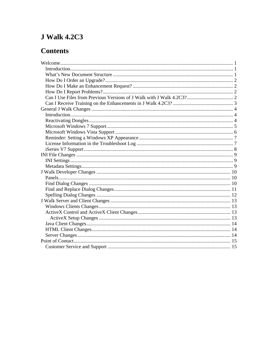# **J Walk 4.2C3**

# **Contents**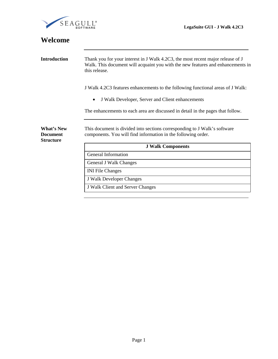<span id="page-4-0"></span>

| Welcome                                                  |                                                                                                                                                                                     |  |  |
|----------------------------------------------------------|-------------------------------------------------------------------------------------------------------------------------------------------------------------------------------------|--|--|
| <b>Introduction</b>                                      | Thank you for your interest in J Walk 4.2C3, the most recent major release of J<br>Walk. This document will acquaint you with the new features and enhancements in<br>this release. |  |  |
|                                                          | J Walk 4.2C3 features enhancements to the following functional areas of J Walk:                                                                                                     |  |  |
|                                                          | J Walk Developer, Server and Client enhancements                                                                                                                                    |  |  |
|                                                          | The enhancements to each area are discussed in detail in the pages that follow.                                                                                                     |  |  |
| <b>What's New</b><br><b>Document</b><br><b>Structure</b> | This document is divided into sections corresponding to J Walk's software<br>components. You will find information in the following order.                                          |  |  |
|                                                          | <b>J Walk Components</b>                                                                                                                                                            |  |  |
|                                                          | <b>General Information</b>                                                                                                                                                          |  |  |
|                                                          | <b>General J Walk Changes</b>                                                                                                                                                       |  |  |
|                                                          | <b>INI File Changes</b>                                                                                                                                                             |  |  |
|                                                          | J Walk Developer Changes                                                                                                                                                            |  |  |
|                                                          | J Walk Client and Server Changes                                                                                                                                                    |  |  |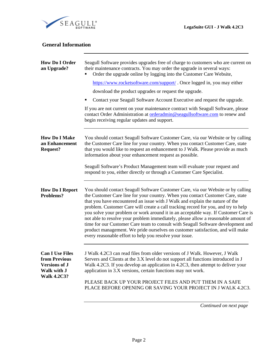<span id="page-5-0"></span>

| <b>General Information</b>                                                                           |                                                                                                                                                                                                                                                                                                                                                                                                                                                                                                                                                                                                                                                                                                                                                      |
|------------------------------------------------------------------------------------------------------|------------------------------------------------------------------------------------------------------------------------------------------------------------------------------------------------------------------------------------------------------------------------------------------------------------------------------------------------------------------------------------------------------------------------------------------------------------------------------------------------------------------------------------------------------------------------------------------------------------------------------------------------------------------------------------------------------------------------------------------------------|
| <b>How Do I Order</b><br>an Upgrade?                                                                 | Seagull Software provides upgrades free of charge to customers who are current on<br>their maintenance contracts. You may order the upgrade in several ways:<br>Order the upgrade online by logging into the Customer Care Website,<br>https://www.rocketsoftware.com/support/. Once logged in, you may either<br>download the product upgrades or request the upgrade.<br>Contact your Seagull Software Account Executive and request the upgrade.<br>٠<br>If you are not current on your maintenance contract with Seagull Software, please<br>contact Order Administration at orderadmin@seagullsoftware.com to renew and<br>begin receiving regular updates and support.                                                                         |
| <b>How Do I Make</b><br>an Enhancement<br><b>Request?</b>                                            | You should contact Seagull Software Customer Care, via our Website or by calling<br>the Customer Care line for your country. When you contact Customer Care, state<br>that you would like to request an enhancement to J Walk. Please provide as much<br>information about your enhancement request as possible.<br>Seagull Software's Product Management team will evaluate your request and<br>respond to you, either directly or through a Customer Care Specialist.                                                                                                                                                                                                                                                                              |
| <b>How Do I Report</b><br>Problems?                                                                  | You should contact Seagull Software Customer Care, via our Website or by calling<br>the Customer Care line for your country. When you contact Customer Care, state<br>that you have encountered an issue with J Walk and explain the nature of the<br>problem. Customer Care will create a call tracking record for you, and try to help<br>you solve your problem or work around it in an acceptable way. If Customer Care is<br>not able to resolve your problem immediately, please allow a reasonable amount of<br>time for our Customer Care team to consult with Seagull Software development and<br>product management. We pride ourselves on customer satisfaction, and will make<br>every reasonable effort to help you resolve your issue. |
| <b>Can I Use Files</b><br>from Previous<br><b>Versions of J</b><br>Walk with J<br><b>Walk 4.2C3?</b> | J Walk 4.2C3 can read files from older versions of J Walk. However, J Walk<br>Servers and Clients at the 3.X level do not support all functions introduced in J<br>Walk 4.2C3. If you develop an application in 4.2C3, then attempt to deliver your<br>application in 3.X versions, certain functions may not work.<br>PLEASE BACK UP YOUR PROJECT FILES AND PUT THEM IN A SAFE<br>PLACE BEFORE OPENING OR SAVING YOUR PROJECT IN J WALK 4.2C3.                                                                                                                                                                                                                                                                                                      |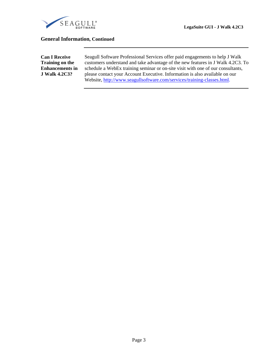<span id="page-6-0"></span>

### **General Information, Continued**

**Can I Receive Training on the Enhancements in J Walk 4.2C3?** 

Seagull Software Professional Services offer paid engagements to help J Walk customers understand and take advantage of the new features in J Walk 4.2C3. To schedule a WebEx training seminar or on-site visit with one of our consultants, please contact your Account Executive. Information is also available on our Website, <http://www.seagullsoftware.com/services/training-classes.html>.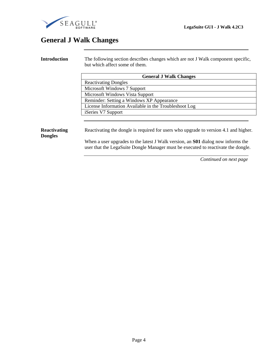<span id="page-7-0"></span>

# **General J Walk Changes**

**Introduction** The following section describes changes which are not J Walk component specific, but which affect some of them.  **General J Walk Changes**  Reactivating Dongles Microsoft Windows 7 Support Microsoft Windows Vista Support Reminder: Setting a Windows XP Appearance License Information Available in the Troubleshoot Log iSeries V7 Support **Reactivating Dongles**  Reactivating the dongle is required for users who upgrade to version 4.1 and higher. When a user upgrades to the latest J Walk version, an **S01** dialog now informs the user that the LegaSuite Dongle Manager must be executed to reactivate the dongle.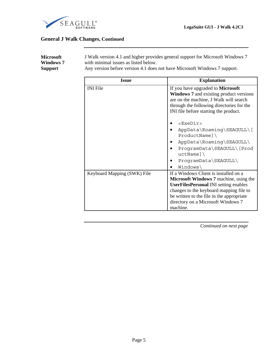<span id="page-8-0"></span>

| <b>Microsoft</b><br><b>Windows 7</b><br><b>Support</b> |                 | J Walk version 4.1 and higher provides general support for Microsoft Windows 7<br>with minimal issues as listed below.<br>Any version before version 4.1 does not have Microsoft Windows 7 support. |  |  |
|--------------------------------------------------------|-----------------|-----------------------------------------------------------------------------------------------------------------------------------------------------------------------------------------------------|--|--|
|                                                        | Issue           | <b>Explanation</b>                                                                                                                                                                                  |  |  |
|                                                        | <b>INI</b> File | If you have upgraded to <b>Microsoft</b><br><b>Windows 7</b> and existing product versions<br>are on the machine, J Walk will search                                                                |  |  |

|                             | are on the machine, I walk will search<br>through the following directories for the<br>INI file before starting the product.                                                           |
|-----------------------------|----------------------------------------------------------------------------------------------------------------------------------------------------------------------------------------|
|                             | <exedir><br/>AppData\Roaming\SEAGULL\[<br/><math>ProductName] \setminus</math><br/>AppData\Roaming\SEAGULL\<br/>ProgramData\SEAGULL\[Prod<br/><math>uctName] \setminus</math></exedir> |
|                             | $ProgramData\SEAGULL\$                                                                                                                                                                 |
|                             | Windows\                                                                                                                                                                               |
| Keyboard Mapping (SWK) File | If a Windows Client is installed on a                                                                                                                                                  |
|                             | <b>Microsoft Windows 7</b> machine, using the                                                                                                                                          |
|                             | <b>UserFilesPersonal INI setting enables</b>                                                                                                                                           |
|                             | changes to the keyboard mapping file to                                                                                                                                                |
|                             | be written to the file in the appropriate                                                                                                                                              |
|                             | directory on a Microsoft Windows 7                                                                                                                                                     |
|                             | machine.                                                                                                                                                                               |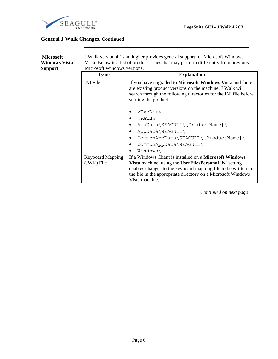<span id="page-9-0"></span>

| <b>Microsoft</b><br><b>Windows Vista</b><br><b>Support</b> | J Walk version 4.1 and higher provides general support for Microsoft Windows<br>Vista. Below is a list of product issues that may perform differently from previous<br>Microsoft Windows versions. |                                                                                                                                                                                                                                                                      |  |  |
|------------------------------------------------------------|----------------------------------------------------------------------------------------------------------------------------------------------------------------------------------------------------|----------------------------------------------------------------------------------------------------------------------------------------------------------------------------------------------------------------------------------------------------------------------|--|--|
|                                                            | <b>Issue</b>                                                                                                                                                                                       | <b>Explanation</b>                                                                                                                                                                                                                                                   |  |  |
|                                                            | <b>INI</b> File                                                                                                                                                                                    | If you have upgraded to <b>Microsoft Windows Vista</b> and there<br>are existing product versions on the machine, J Walk will<br>search through the following directories for the INI file before<br>starting the product.                                           |  |  |
|                                                            |                                                                                                                                                                                                    | <exedir></exedir>                                                                                                                                                                                                                                                    |  |  |
|                                                            |                                                                                                                                                                                                    | %PATH%                                                                                                                                                                                                                                                               |  |  |
|                                                            |                                                                                                                                                                                                    | AppData\SEAGULL\[ProductName]\                                                                                                                                                                                                                                       |  |  |
|                                                            |                                                                                                                                                                                                    | AppData\SEAGULL\                                                                                                                                                                                                                                                     |  |  |
|                                                            |                                                                                                                                                                                                    | CommonAppData\SEAGULL\[ProductName]\                                                                                                                                                                                                                                 |  |  |
|                                                            |                                                                                                                                                                                                    | CommonAppData\SEAGULL\                                                                                                                                                                                                                                               |  |  |
|                                                            |                                                                                                                                                                                                    | Windows                                                                                                                                                                                                                                                              |  |  |
|                                                            | <b>Keyboard Mapping</b><br>(JWK) File                                                                                                                                                              | If a Windows Client is installed on a Microsoft Windows<br>Vista machine, using the UserFilesPersonal INI setting<br>enables changes to the keyboard mapping file to be written to<br>the file in the appropriate directory on a Microsoft Windows<br>Vista machine. |  |  |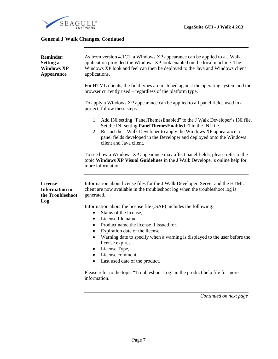<span id="page-10-0"></span>

| <b>Reminder:</b><br><b>Setting a</b><br><b>Windows XP</b><br><b>Appearance</b> | As from version 4.1C1, a Windows XP appearance can be applied to a J Walk<br>application provided the Windows XP look enabled on the local machine. The<br>Windows XP look and feel can then be deployed to the Java and Windows client<br>applications.                                                                     |
|--------------------------------------------------------------------------------|------------------------------------------------------------------------------------------------------------------------------------------------------------------------------------------------------------------------------------------------------------------------------------------------------------------------------|
|                                                                                | For HTML clients, the field types are matched against the operating system and the<br>browser currently used – regardless of the platform type.                                                                                                                                                                              |
|                                                                                | To apply a Windows XP appearance can be applied to all panel fields used in a<br>project, follow these steps.                                                                                                                                                                                                                |
|                                                                                | 1. Add INI setting "PanelThemesEnabled" to the J Walk Developer's INI file.<br>Set the INI setting <b>PanelThemesEnabled=1</b> in the INI file.<br>2. Restart the J Walk Developer to apply the Windows XP appearance to<br>panel fields developed in the Developer and deployed onto the Windows<br>client and Java client. |
|                                                                                | To see how a Windows XP appearance may affect panel fields, please refer to the<br>topic Windows XP Visual Guidelines in the J Walk Developer's online help for<br>more information                                                                                                                                          |
| License<br><b>Information</b> in<br>the Troubleshoot<br>Log                    | Information about license files for the J Walk Developer, Server and the HTML<br>client are now available in the troubleshoot log when the troubleshoot log is<br>generated.                                                                                                                                                 |
|                                                                                | Information about the license file (.SAF) includes the following:                                                                                                                                                                                                                                                            |
|                                                                                | Status of the license,<br>$\bullet$<br>License file name,<br>$\bullet$                                                                                                                                                                                                                                                       |
|                                                                                | Product name the license if issued for,<br>$\bullet$                                                                                                                                                                                                                                                                         |
|                                                                                | Expiration date of the license,<br>$\bullet$                                                                                                                                                                                                                                                                                 |
|                                                                                | Warning date to specify when a warning is displayed to the user before the<br>$\bullet$                                                                                                                                                                                                                                      |
|                                                                                | license expires,<br>License Type,<br>$\bullet$                                                                                                                                                                                                                                                                               |
|                                                                                | License comment,<br>$\bullet$                                                                                                                                                                                                                                                                                                |
|                                                                                | Last used date of the product.<br>$\bullet$                                                                                                                                                                                                                                                                                  |
|                                                                                | Please refer to the topic "Troubleshoot Log" in the product help file for more<br>information.                                                                                                                                                                                                                               |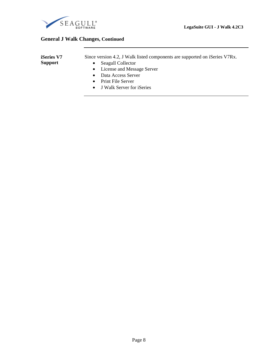<span id="page-11-0"></span>

| <b>iSeries V7</b> | Since version 4.2, J Walk listed components are supported on iSeries V7Rx. |
|-------------------|----------------------------------------------------------------------------|
| <b>Support</b>    | • Seagull Collector                                                        |
|                   | • License and Message Server                                               |
|                   | • Data Access Server                                                       |

- Print File Server
- J Walk Server for iSeries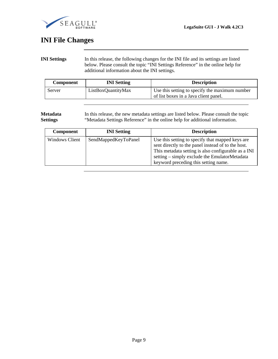<span id="page-12-0"></span>

# **INI File Changes**

**INI Settings** In this release, the following changes for the INI file and its settings are listed below. Please consult the topic "INI Settings Reference" in the online help for additional information about the INI settings.

| <b>Component</b> | <b>INI</b> Setting | <b>Description</b>                                                                      |
|------------------|--------------------|-----------------------------------------------------------------------------------------|
| Server           | ListBoxQuantityMax | Use this setting to specify the maximum number<br>of list boxes in a Java client panel. |

#### **Metadata Settings**  In this release, the new metadata settings are listed below. Please consult the topic "Metadata Settings Reference" in the online help for additional information.

| <b>Component</b> | <b>INI</b> Setting   | <b>Description</b>                                                                                                                                                                                                                                     |
|------------------|----------------------|--------------------------------------------------------------------------------------------------------------------------------------------------------------------------------------------------------------------------------------------------------|
| Windows Client   | SendMappedKeyToPanel | Use this setting to specify that mapped keys are<br>sent directly to the panel instead of to the host.<br>This metadata setting is also configurable as a INI<br>setting – simply exclude the EmulatorMetadata<br>keyword preceding this setting name. |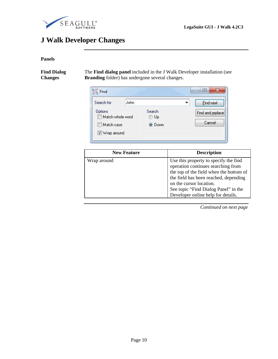<span id="page-13-0"></span>

# **J Walk Developer Changes**

### **Panels**

**Find Dialog Changes** 

The **Find dialog panel** included in the J Walk Developer installation (see **Branding** folder) has undergone several changes.

| Search for                                                 | John |                          | <b>Eind next</b>           |
|------------------------------------------------------------|------|--------------------------|----------------------------|
| Options<br>Match whole word<br>Match case<br>V Wrap around |      | Search<br>© Up<br>● Down | Find and replace<br>Cancel |

| <b>New Feature</b> | <b>Description</b>                                                                                                                                                                                                                                                       |
|--------------------|--------------------------------------------------------------------------------------------------------------------------------------------------------------------------------------------------------------------------------------------------------------------------|
| Wrap around        | Use this property to specify the find<br>operation continues searching from<br>the top of the field when the bottom of<br>the field has been reached, depending<br>on the cursor location.<br>See topic "Find Dialog Panel" in the<br>Developer online help for details. |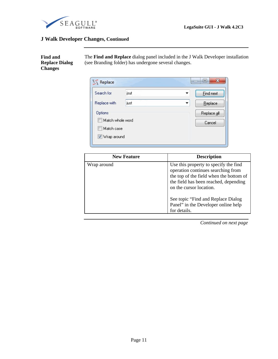<span id="page-14-0"></span>

# **J Walk Developer Changes, Continued**

**Find and Replace Dialog Changes** 

The **Find and Replace** dialog panel included in the J Walk Developer installation (see Branding folder) has undergone several changes.

| Search for       | jsut | <b>Eind next</b> |
|------------------|------|------------------|
| Replace with     | just | Replace          |
| <b>Options</b>   |      | Replace all      |
| Match whole word |      | Cancel           |
| Match case       |      |                  |

| <b>New Feature</b> | <b>Description</b>                                                                                                                                                                         |
|--------------------|--------------------------------------------------------------------------------------------------------------------------------------------------------------------------------------------|
| Wrap around        | Use this property to specify the find<br>operation continues searching from<br>the top of the field when the bottom of<br>the field has been reached, depending<br>on the cursor location. |
|                    | See topic "Find and Replace Dialog"<br>Panel" in the Developer online help<br>for details.                                                                                                 |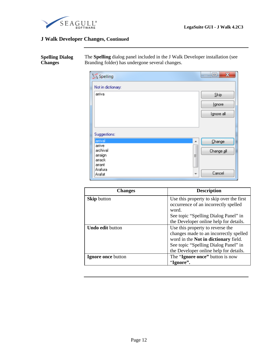<span id="page-15-0"></span>

# **J Walk Developer Changes, Continued**

| <b>Spelling Dialog</b> | The Spelling dialog panel included in the J Walk Developer installation (see |
|------------------------|------------------------------------------------------------------------------|
| <b>Changes</b>         | Branding folder) has undergone several changes.                              |
|                        |                                                                              |

| S Spelling                              | o<br>x          |
|-----------------------------------------|-----------------|
| Not in dictionary:                      |                 |
| arriva                                  | Skip            |
|                                         | Ignore          |
|                                         | Ignore all      |
|                                         |                 |
| Suggestions:                            |                 |
| arrival                                 | Change<br>▲     |
| arrive<br>archival<br>arraign<br>arrack | Change all<br>Ξ |
| arrant<br>Arafura<br>Arafat             | Cancel<br>٠     |

| <b>Changes</b>          | <b>Description</b>                          |
|-------------------------|---------------------------------------------|
| <b>Skip</b> button      | Use this property to skip over the first    |
|                         | occurrence of an incorrectly spelled        |
|                         | word.                                       |
|                         | See topic "Spelling Dialog Panel" in        |
|                         | the Developer online help for details.      |
| <b>Undo edit button</b> | Use this property to reverse the            |
|                         | changes made to an incorrectly spelled      |
|                         | word in the <b>Not in dictionary</b> field. |
|                         | See topic "Spelling Dialog Panel" in        |
|                         | the Developer online help for details.      |
| Ignore once button      | The "Ignore once" button is now             |
|                         | "Ignore".                                   |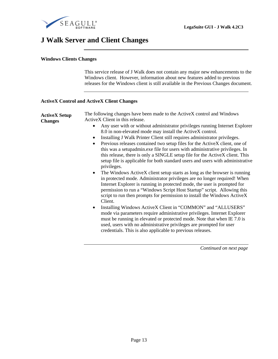<span id="page-16-0"></span>

# **J Walk Server and Client Changes**

#### **Windows Clients Changes**

This service release of J Walk does not contain any major new enhancements to the Windows client. However, information about new features added to previous releases for the Windows client is still available in the Previous Changes document.

#### **ActiveX Control and ActiveX Client Changes**

| <b>ActiveX Setup</b><br><b>Changes</b> | The following changes have been made to the ActiveX control and Windows<br>ActiveX Client in this release.                                                                                                                                                                                                                                                                                                       |
|----------------------------------------|------------------------------------------------------------------------------------------------------------------------------------------------------------------------------------------------------------------------------------------------------------------------------------------------------------------------------------------------------------------------------------------------------------------|
|                                        | Any user with or without administrator privileges running Internet Explorer<br>8.0 in non-elevated mode may install the ActiveX control.<br>Installing J Walk Printer Client still requires administrator privileges.<br>$\bullet$<br>Previous releases contained two setup files for the ActiveX client, one of<br>$\bullet$<br>this was a setupadmin.exe file for users with administrative privileges. In     |
|                                        | this release, there is only a SINGLE setup file for the ActiveX client. This<br>setup file is applicable for both standard users and users with administrative<br>privileges.                                                                                                                                                                                                                                    |
|                                        | The Windows ActiveX client setup starts as long as the browser is running<br>$\bullet$<br>in protected mode. Administrator privileges are no longer required! When<br>Internet Explorer is running in protected mode, the user is prompted for<br>permission to run a "Windows Script Host Startup" script. Allowing this<br>script to run then prompts for permission to install the Windows ActiveX<br>Client. |
|                                        | Installing Windows ActiveX Client in "COMMON" and "ALLUSERS"<br>$\bullet$<br>mode via parameters require administrative privileges. Internet Explorer<br>must be running in elevated or protected mode. Note that when IE 7.0 is<br>used, users with no administrative privileges are prompted for user<br>credentials. This is also applicable to previous releases.                                            |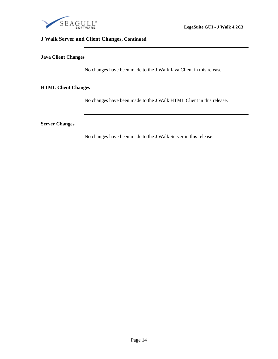<span id="page-17-0"></span>

# **J Walk Server and Client Changes, Continued**

#### **Java Client Changes**

No changes have been made to the J Walk Java Client in this release.

### **HTML Client Changes**

No changes have been made to the J Walk HTML Client in this release.

#### **Server Changes**

No changes have been made to the J Walk Server in this release.